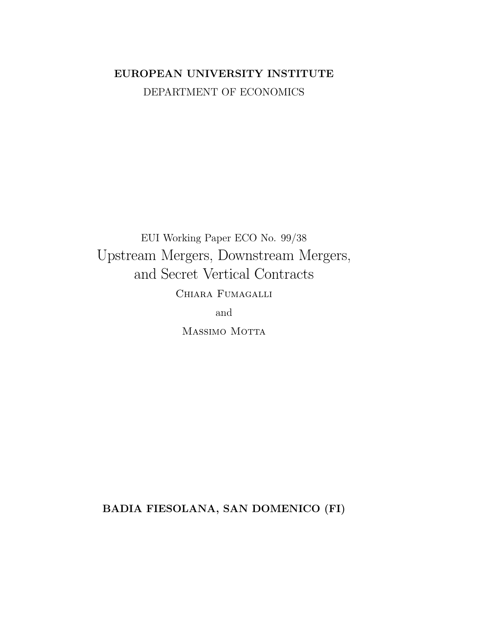# EUROPEAN UNIVERSITY INSTITUTE DEPARTMENT OF ECONOMICS

EUI Working Paper ECO No. 99/38 Upstream Mergers, Downstream Mergers, and Secret Vertical Contracts CHIARA FUMAGALLI

and

MASSIMO MOTTA

BADIA FIESOLANA, SAN DOMENICO (FI)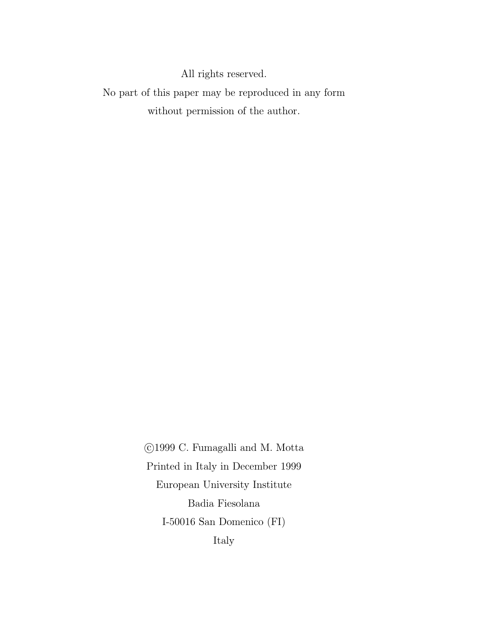All rights reserved.

No part of this paper may be reproduced in any form without permission of the author.

> ©1999 C. Fumagalli and M. Motta Printed in Italy in December 1999 European University Institute Badia Fiesolana I-50016 San Domenico $(\mathrm{FI})$ Italy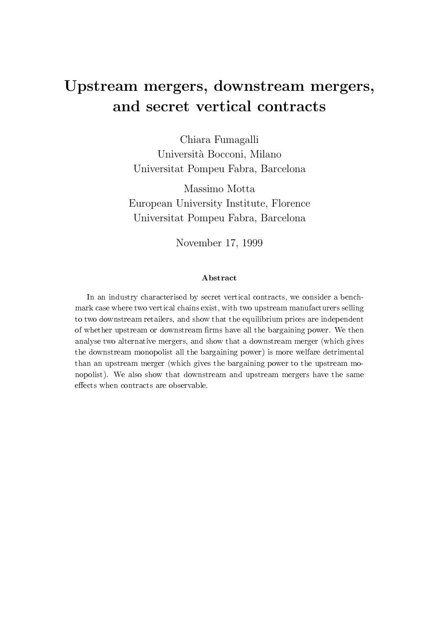# Upstream mergers, downstream mergers, and secret vertical contracts

Chiara Fumagalli Università Bocconi, Milano Universitat Pompeu Fabra, Barcelona

Massimo Motta European University Institute, Florence Universitat Pompeu Fabra, Barcelona

November 17, 1999

#### Abstract

In an industry characterised by secret vertical contracts, we consider a benchmark case where two vertical chains exist, with two upstream manufacturers selling to two downstream retailers, and show that the equilibrium prices are independent of whether upstream or downstream firms have all the bargaining power. We then analyse two alternative mergers, and show that a downstream merger (which gives the downstream monopolist all the bargaining power) is more welfare detrimental than an upstream merger (which gives the bargaining power to the upstream monopolist). We also show that downstream and upstream mergers have the same effects when contracts are observable.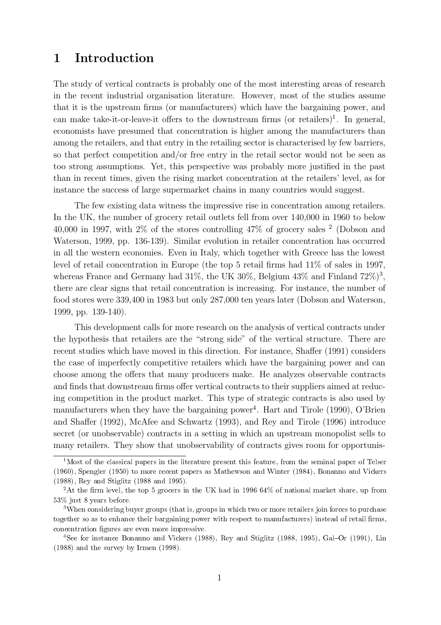### 1 Introduction

The study of vertical contracts is probably one of the most interesting areas of research in the recent industrial organisation literature. However, most of the studies assume that it is the upstream firms (or manufacturers) which have the bargaining power, and can make take-it-or-leave-it offers to the downstream firms (or retailers)<sup>1</sup>. In general, economists have presumed that concentration is higher among the manufacturers than among the retailers, and that entry in the retailing sector is characterised by few barriers, so that perfect competition and/or free entry in the retail sector would not be seen as too strong assumptions. Yet, this perspective was probably more justified in the past than in recent times, given the rising market concentration at the retailers' level, as for instance the success of large supermarket chains in many countries would suggest.

The few existing data witness the impressive rise in concentration among retailers. In the UK, the number of grocery retail outlets fell from over 140,000 in 1960 to below 40,000 in 1997, with  $2\%$  of the stores controlling  $47\%$  of grocery sales  $^2$  (Dobson and Waterson, 1999, pp. 136-139). Similar evolution in retailer concentration has occurred in all the western economies. Even in Italy, which together with Greece has the lowest level of retail concentration in Europe (the top  $5$  retail firms had  $11\%$  of sales in 1997, whereas France and Germany had  $31\%$ , the UK  $30\%$ , Belgium  $43\%$  and Finland  $72\%)^3$ , there are clear signs that retail concentration is increasing. For instance, the number of food stores were 339,400 in 1983 but only 287,000 ten years later (Dobson and Waterson, 1999, pp. 139-140).

This development calls for more research on the analysis of vertical contracts under the hypothesis that retailers are the "strong side" of the vertical structure. There are recent studies which have moved in this direction. For instance, Shaffer (1991) considers the case of imperfectly competitive retailers which have the bargaining power and can choose among the offers that many producers make. He analyzes observable contracts and finds that downstream firms offer vertical contracts to their suppliers aimed at reducing competition in the product market. This type of strategic contracts is also used by manufacturers when they have the bargaining power<sup>4</sup>. Hart and Tirole (1990), O'Brien and Shaffer (1992), McAfee and Schwartz (1993), and Rey and Tirole (1996) introduce secret (or unobservable) contracts in a setting in which an upstream monopolist sells to many retailers. They show that unobservability of contracts gives room for opportunis-

<sup>&</sup>lt;sup>1</sup>Most of the classical papers in the literature present this feature, from the seminal paper of Telser (1960), Spengler (1950) to more recent papers as Mathewson and Winter (1984), Bonanno and Vickers (1988), Rey and Stiglitz (1988 and 1995).

<sup>&</sup>lt;sup>2</sup>At the firm level, the top 5 grocers in the UK had in 1996 64% of national market share, up from 53% just 8 years before.

<sup>&</sup>lt;sup>3</sup>When considering buyer groups (that is, groups in which two or more retailers join forces to purchase together so as to enhance their bargaining power with respect to manufacturers) instead of retail firms, concentration figures are even more impressive.

<sup>&</sup>lt;sup>4</sup>See for instance Bonanno and Vickers (1988), Rey and Stiglitz (1988, 1995), Gal-Or (1991), Lin (1988) and the survey by Irmen (1998).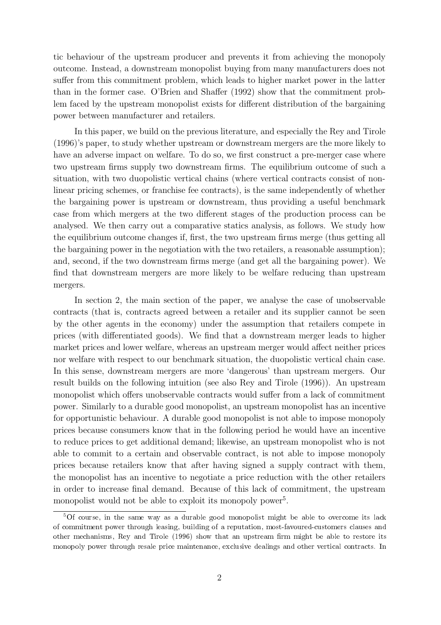tic behaviour of the upstream producer and prevents it from achieving the monopoly outcome. Instead, a downstream monopolist buying from many manufacturers does not suffer from this commitment problem, which leads to higher market power in the latter than in the former case. O'Brien and Shaffer  $(1992)$  show that the commitment problem faced by the upstream monopolist exists for different distribution of the bargaining power between manufacturer and retailers.

In this paper, we build on the previous literature, and especially the Rey and Tirole (1996)'s paper, to study whether upstream or downstream mergers are the more likely to have an adverse impact on welfare. To do so, we first construct a pre-merger case where two upstream firms supply two downstream firms. The equilibrium outcome of such a situation, with two duopolistic vertical chains (where vertical contracts consist of nonlinear pricing schemes, or franchise fee contracts), is the same independently of whether the bargaining power is upstream or downstream, thus providing a useful benchmark case from which mergers at the two different stages of the production process can be analysed. We then carry out a comparative statics analysis, as follows. We study how the equilibrium outcome changes if, first, the two upstream firms merge (thus getting all the bargaining power in the negotiation with the two retailers, a reasonable assumption); and, second, if the two downstream firms merge (and get all the bargaining power). We find that downstream mergers are more likely to be welfare reducing than upstream mergers.

In section 2, the main section of the paper, we analyse the case of unobservable contracts (that is, contracts agreed between a retailer and its supplier cannot be seen by the other agents in the economy) under the assumption that retailers compete in prices (with differentiated goods). We find that a downstream merger leads to higher market prices and lower welfare, whereas an upstream merger would affect neither prices nor welfare with respect to our benchmark situation, the duopolistic vertical chain case. In this sense, downstream mergers are more 'dangerous' than upstream mergers. Our result builds on the following intuition (see also Rey and Tirole (1996)). An upstream monopolist which offers unobservable contracts would suffer from a lack of commitment power. Similarly to a durable good monopolist, an upstream monopolist has an incentive for opportunistic behaviour. A durable good monopolist is not able to impose monopoly prices because consumers know that in the following period he would have an incentive to reduce prices to get additional demand; likewise, an upstream monopolist who is not able to commit to a certain and observable contract, is not able to impose monopoly prices because retailers know that after having signed a supply contract with them, the monopolist has an incentive to negotiate a price reduction with the other retailers in order to increase final demand. Because of this lack of commitment, the upstream monopolist would not be able to exploit its monopoly power<sup>5</sup>.

 $5$ Of course, in the same way as a durable good monopolist might be able to overcome its lack of commitment power through leasing, building of a reputation, most-favoured-customers clauses and other mechanisms, Rey and Tirole (1996) show that an upstream firm might be able to restore its monopoly power through resale price maintenance, exclusive dealings and other vertical contracts. In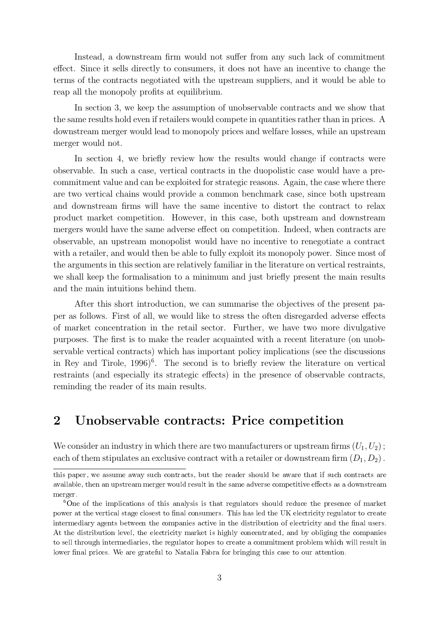Instead, a downstream firm would not suffer from any such lack of commitment effect. Since it sells directly to consumers, it does not have an incentive to change the terms of the contracts negotiated with the upstream suppliers, and it would be able to reap all the monopoly profits at equilibrium.

In section 3, we keep the assumption of unobservable contracts and we show that the same results hold even if retailers would compete in quantities rather than in prices. A downstream merger would lead to monopoly prices and welfare losses, while an upstream merger would not.

In section 4, we briefly review how the results would change if contracts were observable. In such a case, vertical contracts in the duopolistic case would have a precommitment value and can be exploited for strategic reasons. Again, the case where there are two vertical chains would provide a common benchmark case, since both upstream and downstream firms will have the same incentive to distort the contract to relax product market competition. However, in this case, both upstream and downstream mergers would have the same adverse effect on competition. Indeed, when contracts are observable, an upstream monopolist would have no incentive to renegotiate a contract with a retailer, and would then be able to fully exploit its monopoly power. Since most of the arguments in this section are relatively familiar in the literature on vertical restraints, we shall keep the formalisation to a minimum and just briefly present the main results and the main intuitions behind them.

After this short introduction, we can summarise the objectives of the present paper as follows. First of all, we would like to stress the often disregarded adverse effects of market concentration in the retail sector. Further, we have two more divulgative purposes. The first is to make the reader acquainted with a recent literature (on unobservable vertical contracts) which has important policy implications (see the discussions in Rey and Tirole,  $1996$ <sup>6</sup>. The second is to briefly review the literature on vertical restraints (and especially its strategic effects) in the presence of observable contracts, reminding the reader of its main results.

### 2 Unobservable contracts: Price competition

We consider an industry in which there are two manufacturers or upstream firms  $(U_1, U_2)$ ; each of them stipulates an exclusive contract with a retailer or downstream firm  $(D_1, D_2)$ .

this paper, we assume away such contracts, but the reader should be aware that if such contracts are available, then an upstream merger would result in the same adverse competitive effects as a downstream merger.

<sup>&</sup>lt;sup>6</sup>One of the implications of this analysis is that regulators should reduce the presence of market power at the vertical stage closest to final consumers. This has led the UK electricity regulator to create intermediary agents between the companies active in the distribution of electricity and the final users. At the distribution level, the electricity market is highly concentrated, and by obliging the companies to sell through intermediaries, the regulator hopes to create a commitment problem which will result in lower final prices. We are grateful to Natalia Fabra for bringing this case to our attention.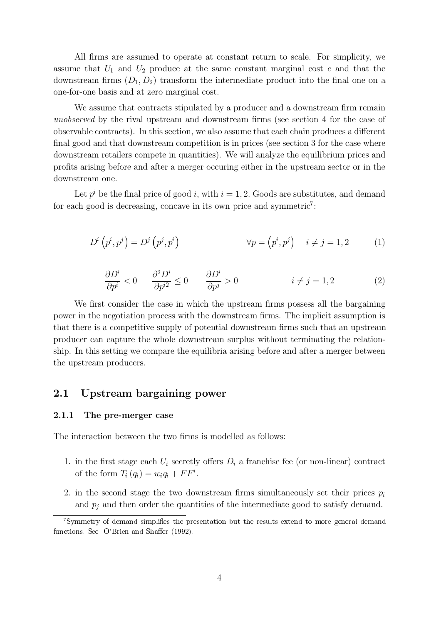All firms are assumed to operate at constant return to scale. For simplicity, we assume that  $U_1$  and  $U_2$  produce at the same constant marginal cost c and that the downstream firms  $(D_1, D_2)$  transform the intermediate product into the final one on a one-for-one basis and at zero marginal cost.

We assume that contracts stipulated by a producer and a downstream firm remain unobserved by the rival upstream and downstream firms (see section 4 for the case of observable contracts). In this section, we also assume that each chain produces a different final good and that downstream competition is in prices (see section 3 for the case where downstream retailers compete in quantities). We will analyze the equilibrium prices and profits arising before and after a merger occuring either in the upstream sector or in the downstream one.

Let  $p^i$  be the final price of good i, with  $i = 1, 2$ . Goods are substitutes, and demand for each good is decreasing, concave in its own price and symmetric<sup>7</sup>:

$$
D^{i}\left(p^{i},p^{j}\right) = D^{j}\left(p^{j},p^{i}\right) \qquad \forall p = \left(p^{i},p^{j}\right) \quad i \neq j = 1,2 \qquad (1)
$$

$$
\frac{\partial D^i}{\partial p^i} < 0 \qquad \frac{\partial^2 D^i}{\partial p^{i2}} \le 0 \qquad \frac{\partial D^i}{\partial p^j} > 0 \qquad \qquad i \ne j = 1, 2 \tag{2}
$$

We first consider the case in which the upstream firms possess all the bargaining power in the negotiation process with the downstream firms. The implicit assumption is that there is a competitive supply of potential downstream firms such that an upstream producer can capture the whole downstream surplus without terminating the relationship. In this setting we compare the equilibria arising before and after a merger between the upstream producers.

#### 2.1 Upstream bargaining power

#### 2.1.1 The pre-merger case

The interaction between the two firms is modelled as follows:

- 1. in the first stage each  $U_i$  secretly offers  $D_i$  a franchise fee (or non-linear) contract of the form  $T_i(q_i) = w_i q_i + F F^i$ .
- 2. in the second stage the two downstream firms simultaneously set their prices  $p_i$ and  $p_j$  and then order the quantities of the intermediate good to satisfy demand.

 $7$ Symmetry of demand simplifies the presentation but the results extend to more general demand functions. See O'Brien and Shaffer (1992).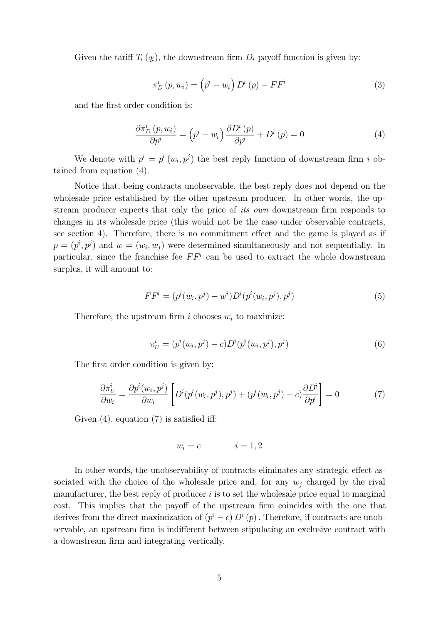Given the tariff  $T_i(q_i)$ , the downstream firm  $D_i$  payoff function is given by:

$$
\pi_D^i(p, w_i) = (p^i - w_i) D^i(p) - FF^i
$$
\n(3)

and the first order condition is:

$$
\frac{\partial \pi_D^i(p, w_i)}{\partial p^i} = \left(p^i - w_i\right) \frac{\partial D^i(p)}{\partial p^i} + D^i(p) = 0 \tag{4}
$$

We denote with  $p^i = p^i(w_i, p^j)$  the best reply function of downstream firm i obtained from equation (4).

Notice that, being contracts unobservable, the best reply does not depend on the wholesale price established by the other upstream producer. In other words, the upstream producer expects that only the price of *its own* downstream firm responds to changes in its wholesale price (this would not be the case under observable contracts, see section 4). Therefore, there is no commitment effect and the game is played as if  $p = (p^i, p^j)$  and  $w = (w_i, w_j)$  were determined simultaneously and not sequentially. In particular, since the franchise fee  $FF<sup>i</sup>$  can be used to extract the whole downstream surplus, it will amount to:

$$
FF^{i} = (p^{i}(w_{i}, p^{j}) - w^{i})D^{i}(p^{i}(w_{i}, p^{j}), p^{j})
$$
\n(5)

Therefore, the upstream firm i chooses  $w_i$  to maximize:

$$
\pi_U^i = (p^i(w_i, p^j) - c)D^i(p^i(w_i, p^j), p^j)
$$
\n(6)

The first order condition is given by:

$$
\frac{\partial \pi_U^i}{\partial w_i} = \frac{\partial p^i(w_i, p^j)}{\partial w_i} \left[ D^i(p^i(w_i, p^j), p^j) + (p^i(w_i, p^j) - c) \frac{\partial D^i}{\partial p^i} \right] = 0 \tag{7}
$$

Given  $(4)$ , equation  $(7)$  is satisfied iff:

$$
w_i = c \qquad \qquad i = 1, 2
$$

In other words, the unobservability of contracts eliminates any strategic effect associated with the choice of the wholesale price and, for any  $w_i$  charged by the rival manufacturer, the best reply of producer  $i$  is to set the wholesale price equal to marginal cost. This implies that the payoff of the upstream firm coincides with the one that derives from the direct maximization of  $(p^{i} - c) D^{i}(p)$ . Therefore, if contracts are unobservable, an upstream firm is indifferent between stipulating an exclusive contract with a downstream firm and integrating vertically.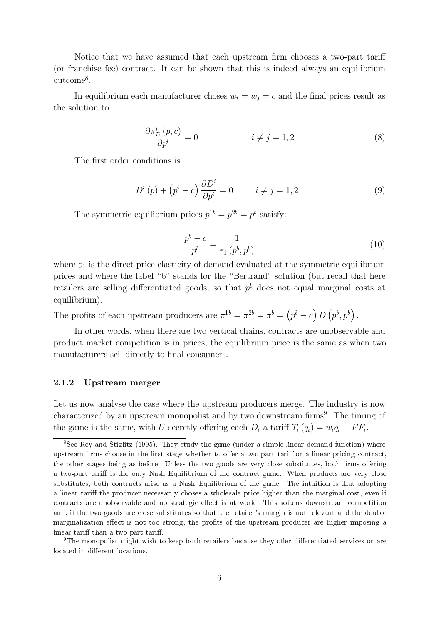Notice that we have assumed that each upstream firm chooses a two-part tariff (or franchise fee) contract. It can be shown that this is indeed always an equilibrium outcome<sup>8</sup>.

In equilibrium each manufacturer choses  $w_i = w_j = c$  and the final prices result as the solution to:

$$
\frac{\partial \pi_D^i(p,c)}{\partial p^i} = 0 \qquad \qquad i \neq j = 1,2 \qquad (8)
$$

The first order conditions is:

$$
D^{i}(p) + (p^{i} - c)\frac{\partial D^{i}}{\partial p^{i}} = 0 \qquad i \neq j = 1, 2
$$
\n(9)

The symmetric equilibrium prices  $p^{1b} = p^{2b} = p^b$  satisfy:

$$
\frac{p^b - c}{p^b} = \frac{1}{\varepsilon_1 \left( p^b, p^b \right)}\tag{10}
$$

where  $\varepsilon_1$  is the direct price elasticity of demand evaluated at the symmetric equilibrium prices and where the label "b" stands for the "Bertrand" solution (but recall that here retailers are selling differentiated goods, so that  $p<sup>b</sup>$  does not equal marginal costs at equilibrium).

The profits of each upstream producers are  $\pi^{1b} = \pi^{2b} = \pi^b = (p^b - c) D(p^b, p^b)$ .

In other words, when there are two vertical chains, contracts are unobservable and product market competition is in prices, the equilibrium price is the same as when two manufacturers sell directly to final consumers.

#### 2.1.2 Upstream merger

Let us now analyse the case where the upstream producers merge. The industry is now characterized by an upstream monopolist and by two downstream  $\text{firms}^9$ . The timing of the game is the same, with U secretly offering each  $D_i$  a tariff  $T_i(q_i) = w_i q_i + F F_i$ .

<sup>8</sup>See Rey and Stiglitz (1995). They study the game (under a simple linear demand function) where upstream firms choose in the first stage whether to offer a two-part tariff or a linear pricing contract, the other stages being as before. Unless the two goods are very close substitutes, both firms offering a two-part tariff is the only Nash Equilibrium of the contract game. When products are very close substitutes, both contracts arise as a Nash Equilibrium of the game. The intuition is that adopting a linear tariff the producer necessarily choses a wholesale price higher than the marginal cost, even if contracts are unobservable and no strategic effect is at work. This softens downstream competition and, if the two goods are close substitutes so that the retailer's margin is not relevant and the double marginalization effect is not too strong, the profits of the upstream producer are higher imposing a linear tariff than a two-part tariff.

<sup>&</sup>lt;sup>9</sup>The monopolist might wish to keep both retailers because they offer differentiated services or are located in different locations.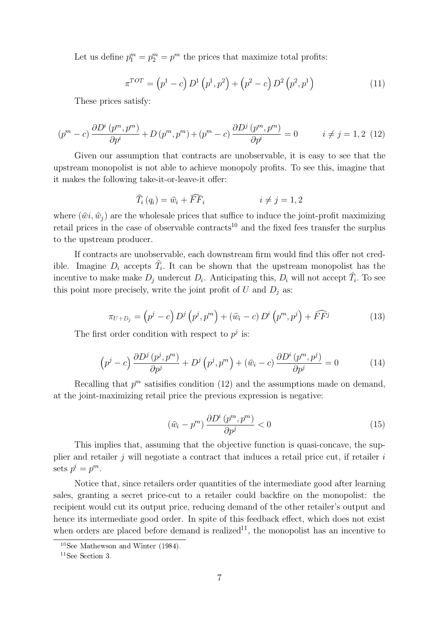Let us define  $p_1^m = p_2^m = p^m$  the prices that maximize total profits:

$$
\pi^{TOT} = (p^1 - c) D^1 (p^1, p^2) + (p^2 - c) D^2 (p^2, p^1)
$$
\n(11)

These prices satisfy:

$$
(pm - c) \frac{\partial D^i(p^m, p^m)}{\partial p^i} + D(p^m, p^m) + (p^m - c) \frac{\partial D^j(p^m, p^m)}{\partial p^i} = 0 \qquad i \neq j = 1, 2 \tag{12}
$$

Given our assumption that contracts are unobservable, it is easy to see that the upstream monopolist is not able to achieve monopoly profits. To see this, imagine that it makes the following take-it-or-leave-it offer:

$$
\widehat{T}_i(q_i) = \widehat{w}_i + \widehat{FF}_i \qquad i \neq j = 1, 2
$$

where  $(\hat{w}_i, \hat{w}_j)$  are the wholesale prices that suffice to induce the joint-profit maximizing retail prices in the case of observable contracts<sup>10</sup> and the fixed fees transfer the surplus to the upstream producer.

If contracts are unobservable, each downstream firm would find this offer not credible. Imagine  $D_i$  accepts  $T_i$ . It can be shown that the upstream monopolist has the incentive to make make  $D_j$  undercut  $D_i$ . Anticipating this,  $D_i$  will not accept  $T_i$ . To see this point more precisely, write the joint profit of U and  $D_i$  as:

$$
\pi_{U+D_j} = (p^j - c) D^j (p^j, p^m) + (\hat{w}_i - c) D^i (p^m, p^j) + \widehat{FF}^j
$$
\n(13)

The first order condition with respect to  $p^j$  is:

$$
\left(p^{j}-c\right)\frac{\partial D^{j}\left(p^{j},p^{m}\right)}{\partial p^{j}}+D^{j}\left(p^{j},p^{m}\right)+\left(\hat{w}_{i}-c\right)\frac{\partial D^{i}\left(p^{m},p^{j}\right)}{\partial p^{j}}=0\tag{14}
$$

Recalling that  $p^m$  satisifies condition (12) and the assumptions made on demand, at the joint-maximizing retail price the previous expression is negative:

$$
(\hat{w}_i - p^m) \frac{\partial D^i(p^m, p^m)}{\partial p^j} < 0 \tag{15}
$$

This implies that, assuming that the objective function is quasi-concave, the supplier and retailer  $j$  will negotiate a contract that induces a retail price cut, if retailer  $i$ sets  $p^i = p^m$ .

Notice that, since retailers order quantities of the intermediate good after learning sales, granting a secret price-cut to a retailer could backfire on the monopolist: the recipient would cut its output price, reducing demand of the other retailer's output and hence its intermediate good order. In spite of this feedback effect, which does not exist when orders are placed before demand is realized<sup>11</sup>, the monopolist has an incentive to

 $^{10}\mathrm{See}$  Mathewson and Winter (1984).

 $11$ See Section 3.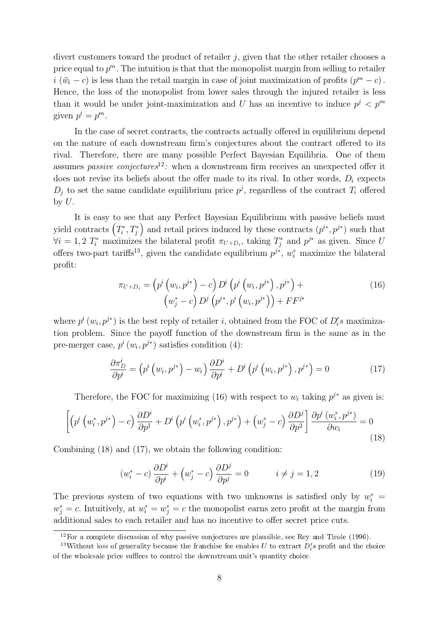divert customers toward the product of retailer  $j$ , given that the other retailer chooses a price equal to  $p^m$ . The intuition is that that the monopolist margin from selling to retailer  $i(\hat{w}_i - c)$  is less than the retail margin in case of joint maximization of profits  $(p^m - c)$ . Hence, the loss of the monopolist from lower sales through the injured retailer is less than it would be under joint-maximization and U has an incentive to induce  $p^j < p^m$ given  $p^i = p^m$ .

In the case of secret contracts, the contracts actually offered in equilibrium depend on the nature of each downstream firm's conjectures about the contract offered to its rival. Therefore, there are many possible Perfect Bayesian Equilibria. One of them assumes *passive conjectures*<sup>12</sup>: when a downstream firm receives an unexpected offer it does not revise its beliefs about the offer made to its rival. In other words,  $D_i$  expects  $D_i$  to set the same candidate equilibrium price  $p^j$ , regardless of the contract  $T_i$  offered by  $U$ .

It is easy to see that any Perfect Bayesian Equilibrium with passive beliefs must yield contracts  $(T_i^*, T_j^*)$ ) and retail prices induced by these contracts  $(p^{i*}, p^{j*})$  such that  $\forall i = 1, 2$   $T_i^*$  maximizes the bilateral profit  $\pi_{U+D_i}$ , taking  $T_j^*$  and  $p^{j*}$  as given. Since U offers two-part tariffs<sup>13</sup>, given the candidate equilibrium  $p^{j*}$ ,  $w_i^*$  maximize the bilateral profit:

$$
\pi_{U+D_i} = \left( p^i \left( w_i, p^{j*} \right) - c \right) D^i \left( p^i \left( w_i, p^{j*} \right), p^{j*} \right) + \n\left( w_j^* - c \right) D^j \left( p^{j*}, p^i \left( w_i, p^{j*} \right) \right) + F F^{j*}
$$
\n(16)

where  $p^{i}(w_{i}, p^{j*})$  is the best reply of retailer *i*, obtained from the FOC of  $D'_{i}s$  maximization problem. Since the payoff function of the downstream firm is the same as in the pre-merger case,  $p^{i}(w_i, p^{j*})$  satisfies condition (4):

$$
\frac{\partial \pi_D^i}{\partial p^i} = \left( p^i \left( w_i, p^{j*} \right) - w_i \right) \frac{\partial D^i}{\partial p^i} + D^i \left( p^i \left( w_i, p^{j*} \right), p^{j*} \right) = 0 \tag{17}
$$

Therefore, the FOC for maximizing (16) with respect to  $w_i$  taking  $p^{j*}$  as given is:

$$
\left[ \left( p^{i} \left( w_{i}^{*}, p^{j*} \right) - c \right) \frac{\partial D^{i}}{\partial p^{1}} + D^{i} \left( p^{i} \left( w_{i}^{*}, p^{j*} \right) , p^{j*} \right) + \left( w_{j}^{*} - c \right) \frac{\partial D^{j}}{\partial p^{2}} \right] \frac{\partial p^{i} \left( w_{i}^{*}, p^{j*} \right)}{\partial w_{i}} = 0 \tag{18}
$$

Combining (18) and (17), we obtain the following condition:

$$
(w_i^* - c) \frac{\partial D^i}{\partial p^i} + (w_j^* - c) \frac{\partial D^j}{\partial p^j} = 0 \qquad i \neq j = 1, 2
$$
 (19)

The previous system of two equations with two unknowns is satisfied only by  $w_i^* =$  $w_j^* = c$ . Intuitively, at  $w_i^* = w_j^* = c$  the monopolist earns zero profit at the margin from additional sales to each retailer and has no incentive to offer secret price cuts.

 $12$  For a complete discussion of why passive conjectures are plausible, see Rey and Tirole (1996).

<sup>&</sup>lt;sup>13</sup>Without loss of generality because the franchise fee enables U to extract  $D_i$ 's profit and the choice of the wholesale price suffices to control the downstream unit's quantity choice.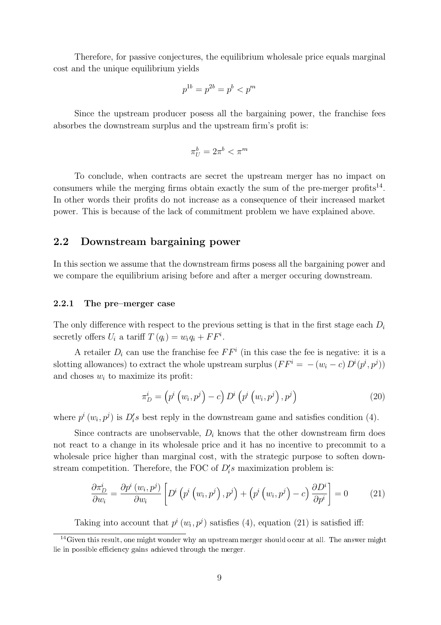Therefore, for passive conjectures, the equilibrium wholesale price equals marginal cost and the unique equilibrium yields

$$
p^{1b} = p^{2b} = p^b < p^m
$$

Since the upstream producer posess all the bargaining power, the franchise fees absorbes the downstream surplus and the upstream firm's profit is:

$$
\pi_U^b = 2\pi^b < \pi^m
$$

To conclude, when contracts are secret the upstream merger has no impact on consumers while the merging firms obtain exactly the sum of the pre-merger profits<sup>14</sup>. In other words their profits do not increase as a consequence of their increased market power. This is because of the lack of commitment problem we have explained above.

#### 2.2 Downstream bargaining power

In this section we assume that the downstream firms posess all the bargaining power and we compare the equilibrium arising before and after a merger occuring downstream.

#### 2.2.1 The pre-merger case

The only difference with respect to the previous setting is that in the first stage each  $D_i$ secretly offers  $U_i$  a tariff  $T(q_i) = w_i q_i + FF^i$ .

A retailer  $D_i$  can use the franchise fee  $FF^i$  (in this case the fee is negative: it is a slotting allowances) to extract the whole upstream surplus  $(FF^i = -(w_i - c) D^i(p^i, p^j))$ and choses  $w_i$  to maximize its profit:

$$
\pi_D^i = \left(p^i \left(w_i, p^j\right) - c\right) D^i \left(p^i \left(w_i, p^j\right), p^j\right) \tag{20}
$$

where  $p^{i}(w_{i}, p^{j})$  is  $D'_{i}$ s best reply in the downstream game and satisfies condition (4).

Since contracts are unobservable,  $D_i$  knows that the other downstream firm does not react to a change in its wholesale price and it has no incentive to precommit to a wholesale price higher than marginal cost, with the strategic purpose to soften downstream competition. Therefore, the FOC of  $D_i$ 's maximization problem is:

$$
\frac{\partial \pi_D^i}{\partial w_i} = \frac{\partial p^i(w_i, p^j)}{\partial w_i} \left[ D^i \left( p^i \left( w_i, p^j \right), p^j \right) + \left( p^i \left( w_i, p^j \right) - c \right) \frac{\partial D^i}{\partial p^i} \right] = 0 \tag{21}
$$

Taking into account that  $p^{i}(w_i, p^{j})$  satisfies (4), equation (21) is satisfied iff:

 $14$ Given this result, one might wonder why an upstream merger should occur at all. The answer might lie in possible efficiency gains achieved through the merger.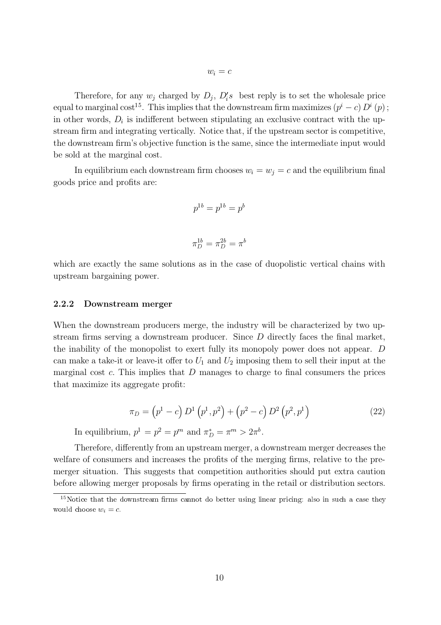Therefore, for any  $w_j$  charged by  $D_j$ ,  $D_i's$  best reply is to set the wholesale price equal to marginal cost<sup>15</sup>. This implies that the downstream firm maximizes  $(p^{i} - c) D^{i}(p)$ ; in other words,  $D_i$  is indifferent between stipulating an exclusive contract with the upstream firm and integrating vertically. Notice that, if the upstream sector is competitive, the downstream firm's objective function is the same, since the intermediate input would be sold at the marginal cost.

In equilibrium each downstream firm chooses  $w_i = w_j = c$  and the equilibrium final goods price and profits are:

$$
p^{1b} = p^{1b} = p^b
$$
  

$$
\pi_D^{1b} = \pi_D^{2b} = \pi^b
$$

which are exactly the same solutions as in the case of duopolistic vertical chains with upstream bargaining power.

#### 2.2.2 Downstream merger

When the downstream producers merge, the industry will be characterized by two upstream firms serving a downstream producer. Since  $D$  directly faces the final market, the inability of the monopolist to exert fully its monopoly power does not appear. D can make a take-it or leave-it offer to  $U_1$  and  $U_2$  imposing them to sell their input at the marginal cost  $c$ . This implies that  $D$  manages to charge to final consumers the prices that maximize its aggregate profit:

$$
\pi_D = (p^1 - c) D^1 (p^1, p^2) + (p^2 - c) D^2 (p^2, p^1)
$$
\n(22)

In equilibrium,  $p^1 = p^2 = p^m$  and  $\pi_D^* = \pi^m > 2\pi^b$ .

Therefore, differently from an upstream merger, a downstream merger decreases the welfare of consumers and increases the profits of the merging firms, relative to the premerger situation. This suggests that competition authorities should put extra caution before allowing merger proposals by firms operating in the retail or distribution sectors.

 $15$ Notice that the downstream firms cannot do better using linear pricing: also in such a case they would choose  $w_i = c$ .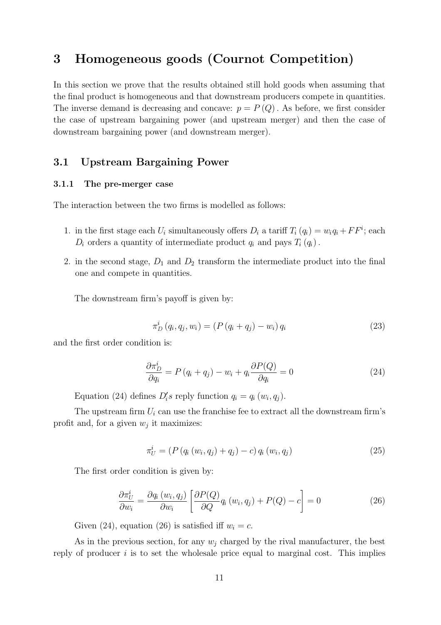### 3 Homogeneous goods (Cournot Competition)

In this section we prove that the results obtained still hold goods when assuming that the final product is homogeneous and that downstream producers compete in quantities. The inverse demand is decreasing and concave:  $p = P(Q)$ . As before, we first consider the case of upstream bargaining power (and upstream merger) and then the case of downstream bargaining power (and downstream merger).

#### 3.1 Upstream Bargaining Power

#### 3.1.1 The pre-merger case

The interaction between the two firms is modelled as follows:

- 1. in the first stage each  $U_i$  simultaneously offers  $D_i$  a tariff  $T_i(q_i) = w_i q_i + FF^i$ ; each  $D_i$  orders a quantity of intermediate product  $q_i$  and pays  $T_i(q_i)$ .
- 2. in the second stage,  $D_1$  and  $D_2$  transform the intermediate product into the final one and compete in quantities.

The downstream firm's payoff is given by:

$$
\pi_D^i(q_i, q_j, w_i) = (P(q_i + q_j) - w_i) q_i \tag{23}
$$

and the first order condition is:

$$
\frac{\partial \pi_D^i}{\partial q_i} = P(q_i + q_j) - w_i + q_i \frac{\partial P(Q)}{\partial q_i} = 0 \tag{24}
$$

Equation (24) defines  $D_i$ 's reply function  $q_i = q_i(w_i, q_j)$ .

The upstream firm  $U_i$  can use the franchise fee to extract all the downstream firm's profit and, for a given  $w_j$  it maximizes:

$$
\pi_U^i = (P(q_i(w_i, q_j) + q_j) - c) q_i(w_i, q_j)
$$
\n(25)

The first order condition is given by:

$$
\frac{\partial \pi_{U}^{i}}{\partial w_{i}} = \frac{\partial q_{i}(w_{i}, q_{j})}{\partial w_{i}} \left[ \frac{\partial P(Q)}{\partial Q} q_{i}(w_{i}, q_{j}) + P(Q) - c \right] = 0 \tag{26}
$$

Given (24), equation (26) is satisfied iff  $w_i = c$ .

As in the previous section, for any  $w_i$  charged by the rival manufacturer, the best reply of producer  $i$  is to set the wholesale price equal to marginal cost. This implies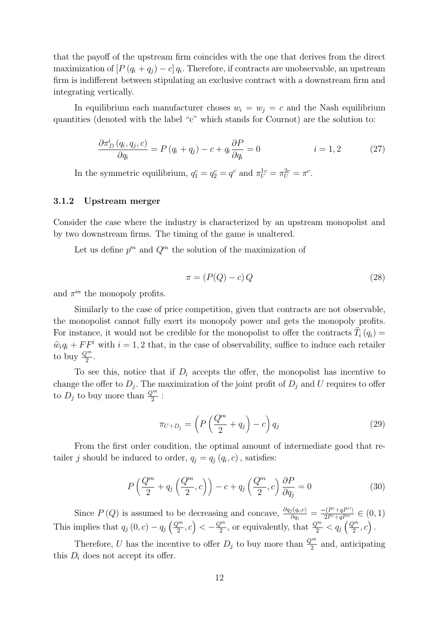that the payoff of the upstream firm coincides with the one that derives from the direct maximization of  $[P(q_i + q_j) - c] q_i$ . Therefore, if contracts are unobservable, an upstream firm is indifferent between stipulating an exclusive contract with a downstream firm and integrating vertically.

In equilibrium each manufacturer choses  $w_i = w_j = c$  and the Nash equilibrium quantities (denoted with the label " $c$ " which stands for Cournot) are the solution to:

$$
\frac{\partial \pi_D^i(q_i, q_j, c)}{\partial q_i} = P(q_i + q_j) - c + q_i \frac{\partial P}{\partial q_i} = 0 \qquad i = 1, 2 \qquad (27)
$$

In the symmetric equilibrium,  $q_1^c = q_2^c = q^c$  and  $\pi_U^{1c} = \pi_U^{2c} = \pi^c$ .

#### 3.1.2 Upstream merger

Consider the case where the industry is characterized by an upstream monopolist and by two downstream firms. The timing of the game is unaltered.

Let us define  $p^m$  and  $Q^m$  the solution of the maximization of

$$
\pi = (P(Q) - c) Q \tag{28}
$$

and  $\pi^m$  the monopoly profits.

Similarly to the case of price competition, given that contracts are not observable, the monopolist cannot fully exert its monopoly power and gets the monopoly profits. For instance, it would not be credible for the monopolist to offer the contracts  $T_i(q_i) =$  $\hat{w}_i q_i + FF^i$  with  $i = 1, 2$  that, in the case of observability, suffice to induce each retailer to buy  $\frac{Q^m}{2}$ .

To see this, notice that if  $D_i$  accepts the offer, the monopolist has incentive to change the offer to  $D_j$ . The maximization of the joint profit of  $D_j$  and U requires to offer to  $D_j$  to buy more than  $\frac{Q^m}{2}$ :

$$
\pi_{U+D_j} = \left( P\left(\frac{Q^m}{2} + q_j\right) - c \right) q_j \tag{29}
$$

From the first order condition, the optimal amount of intermediate good that retailer j should be induced to order,  $q_j = q_j (q_i, c)$ , satisfies:

$$
P\left(\frac{Q^m}{2} + q_j\left(\frac{Q^m}{2}, c\right)\right) - c + q_j\left(\frac{Q^m}{2}, c\right) \frac{\partial P}{\partial q_j} = 0 \tag{30}
$$
  
Since  $P(Q)$  is assumed to be decreasing and concave,  $\frac{\partial q_j(q_i, c)}{\partial q_i} = \frac{-(P' + qP'')}{2P' + qP''} \in (0, 1)$ 

 $\frac{(-P'+qP'')}{2P'+qP''} \in (0,1)$ This implies that  $q_j(0, c) - q_j\left(\frac{Q^m}{2}, c\right) < -\frac{Q^m}{2}$ , or equivalently, that  $\frac{Q^m}{2} < q_j\left(\frac{Q^m}{2}, c\right)$ .

Therefore, U has the incentive to offer  $D_j$  to buy more than  $\frac{Q^m}{2}$  and, anticipating this  $D_i$  does not accept its offer.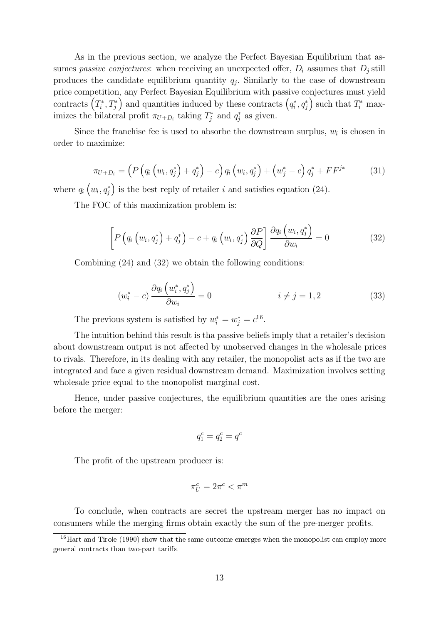As in the previous section, we analyze the Perfect Bayesian Equilibrium that assumes *passive conjectures*: when receiving an unexpected offer,  $D_i$  assumes that  $D_j$  still produces the candidate equilibrium quantity  $q_j$ . Similarly to the case of downstream price competition, any Perfect Bayesian Equilibrium with passive conjectures must yield contracts  $(T_i^*, T_j^*)$  and quantities induced by these contracts  $(q_i^*, q_j^*)$  such that  $T_i^*$  maximizes the bilateral profit  $\pi_{U+D_i}$  taking  $T_j^*$  and  $q_j^*$  as given.

Since the franchise fee is used to absorbe the downstream surplus,  $w_i$  is chosen in order to maximize:

$$
\pi_{U+D_i} = \left( P \left( q_i \left( w_i, q_j^* \right) + q_j^* \right) - c \right) q_i \left( w_i, q_j^* \right) + \left( w_j^* - c \right) q_j^* + F F^{j*} \tag{31}
$$

where  $q_i\left(w_i, q_j^*\right)$  is the best reply of retailer i and satisfies equation (24).

The FOC of this maximization problem is:

$$
\left[ P\left( q_i\left(w_i, q_j^*\right) + q_j^*\right) - c + q_i\left(w_i, q_j^*\right) \frac{\partial P}{\partial Q} \right] \frac{\partial q_i\left(w_i, q_j^*\right)}{\partial w_i} = 0 \tag{32}
$$

Combining (24) and (32) we obtain the following conditions:

$$
(w_i^* - c) \frac{\partial q_i (w_i^*, q_j^*)}{\partial w_i} = 0 \qquad i \neq j = 1, 2 \qquad (33)
$$

The previous system is satisfied by  $w_i^* = w_j^* = c^{16}$ .

The intuition behind this result is tha passive beliefs imply that a retailer's decision about downstream output is not affected by unobserved changes in the wholesale prices to rivals. Therefore, in its dealing with any retailer, the monopolist acts as if the two are integrated and face a given residual downstream demand. Maximization involves setting wholesale price equal to the monopolist marginal cost.

Hence, under passive conjectures, the equilibrium quantities are the ones arising before the merger:

$$
q_1^c = q_2^c = q^c
$$

The profit of the upstream producer is:

$$
\pi_U^c = 2\pi^c < \pi^m
$$

To conclude, when contracts are secret the upstream merger has no impact on consumers while the merging firms obtain exactly the sum of the pre-merger profits.

 $16$  Hart and Tirole (1990) show that the same outcome emerges when the monopolist can employ more general contracts than two-part tariffs.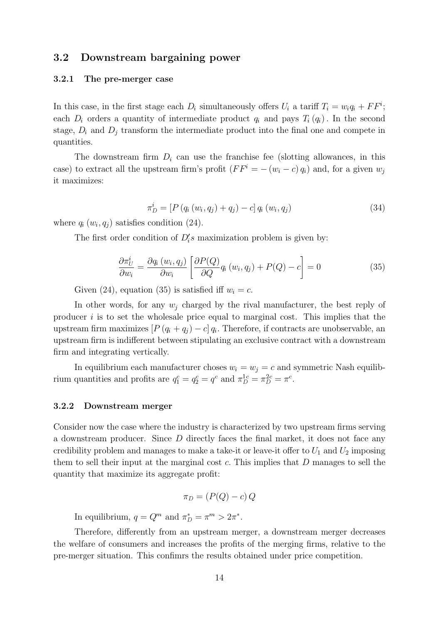#### 3.2 Downstream bargaining power

#### 3.2.1 The pre-merger case

In this case, in the first stage each  $D_i$  simultaneously offers  $U_i$  a tariff  $T_i = w_i q_i + FF^i$ ; each  $D_i$  orders a quantity of intermediate product  $q_i$  and pays  $T_i(q_i)$ . In the second stage,  $D_i$  and  $D_j$  transform the intermediate product into the final one and compete in quantities.

The downstream firm  $D_i$  can use the franchise fee (slotting allowances, in this case) to extract all the upstream firm's profit  $(FF^i = -(w_i - c) q_i)$  and, for a given  $w_i$ it maximizes:

$$
\pi_D^i = [P(q_i(w_i, q_j) + q_j) - c] q_i(w_i, q_j)
$$
\n(34)

where  $q_i(w_i, q_j)$  satisfies condition (24).

The first order condition of  $D_i$ 's maximization problem is given by:

$$
\frac{\partial \pi_U^i}{\partial w_i} = \frac{\partial q_i(w_i, q_j)}{\partial w_i} \left[ \frac{\partial P(Q)}{\partial Q} q_i(w_i, q_j) + P(Q) - c \right] = 0 \tag{35}
$$

Given (24), equation (35) is satisfied iff  $w_i = c$ .

In other words, for any  $w_i$  charged by the rival manufacturer, the best reply of producer  $i$  is to set the wholesale price equal to marginal cost. This implies that the upstream firm maximizes  $[P(q_i + q_j) - c] q_i$ . Therefore, if contracts are unobservable, an upstream firm is indifferent between stipulating an exclusive contract with a downstream firm and integrating vertically.

In equilibrium each manufacturer choses  $w_i = w_j = c$  and symmetric Nash equilibrium quantities and profits are  $q_1^c = q_2^c = q^c$  and  $\pi_D^{1c} = \pi_D^{2c} = \pi^c$ .

#### 3.2.2 Downstream merger

Consider now the case where the industry is characterized by two upstream firms serving a downstream producer. Since  $D$  directly faces the final market, it does not face any credibility problem and manages to make a take-it or leave-it offer to  $U_1$  and  $U_2$  imposing them to sell their input at the marginal cost  $c$ . This implies that  $D$  manages to sell the quantity that maximize its aggregate profit:

$$
\pi_D = (P(Q) - c) Q
$$

In equilibrium,  $q = Q^m$  and  $\pi_D^* = \pi^m > 2\pi^*$ .

Therefore, differently from an upstream merger, a downstream merger decreases the welfare of consumers and increases the profits of the merging firms, relative to the pre-merger situation. This confimrs the results obtained under price competition.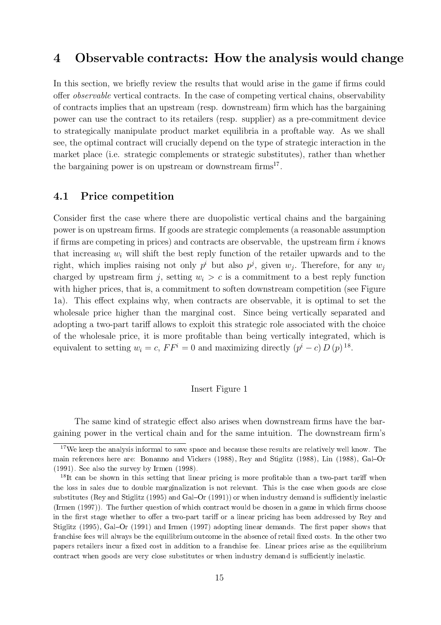### 4 Observable contracts: How the analysis would change

In this section, we briefly review the results that would arise in the game if firms could offer *observable* vertical contracts. In the case of competing vertical chains, observability of contracts implies that an upstream (resp. downstream) firm which has the bargaining power can use the contract to its retailers (resp. supplier) as a pre-commitment device to strategically manipulate product market equilibria in a proftable way. As we shall see, the optimal contract will crucially depend on the type of strategic interaction in the market place (i.e. strategic complements or strategic substitutes), rather than whether the bargaining power is on upstream or downstream  $\text{firms}^{17}$ .

#### 4.1 Price competition

Consider first the case where there are duopolistic vertical chains and the bargaining power is on upstream firms. If goods are strategic complements (a reasonable assumption if firms are competing in prices) and contracts are observable, the upstream firm  $i$  knows that increasing  $w_i$  will shift the best reply function of the retailer upwards and to the right, which implies raising not only  $p^i$  but also  $p^j$ , given  $w_j$ . Therefore, for any  $w_j$ charged by upstream firm j, setting  $w_i > c$  is a commitment to a best reply function with higher prices, that is, a commitment to soften downstream competition (see Figure 1a). This effect explains why, when contracts are observable, it is optimal to set the wholesale price higher than the marginal cost. Since being vertically separated and adopting a two-part tariff allows to exploit this strategic role associated with the choice of the wholesale price, it is more profitable than being vertically integrated, which is equivalent to setting  $w_i = c$ ,  $FF^i = 0$  and maximizing directly  $(p^i - c) D(p)^{18}$ .

#### Insert Figure 1

The same kind of strategic effect also arises when downstream firms have the bargaining power in the vertical chain and for the same intuition. The downstream firm's

<sup>&</sup>lt;sup>17</sup>We keep the analysis informal to save space and because these results are relatively well know. The main references here are: Bonanno and Vickers (1988), Rey and Stiglitz (1988), Lin (1988), Gal-Or (1991). See also the survey by Irmen (1998).

 $18$ It can be shown in this setting that linear pricing is more profitable than a two-part tariff when the loss in sales due to double marginalization is not relevant. This is the case when goods are close substitutes (Rey and Stiglitz (1995) and Gal–Or (1991)) or when industry demand is sufficiently inelastic (Irmen  $(1997)$ ). The further question of which contract would be chosen in a game in which firms choose in the first stage whether to offer a two-part tariff or a linear pricing has been addressed by Rey and Stiglitz (1995), Gal–Or (1991) and Irmen (1997) adopting linear demands. The first paper shows that franchise fees will always be the equilibrium outcome in the absence of retail fixed costs. In the other two papers retailers incur a fixed cost in addition to a franchise fee. Linear prices arise as the equilibrium contract when goods are very close substitutes or when industry demand is sufficiently inelastic.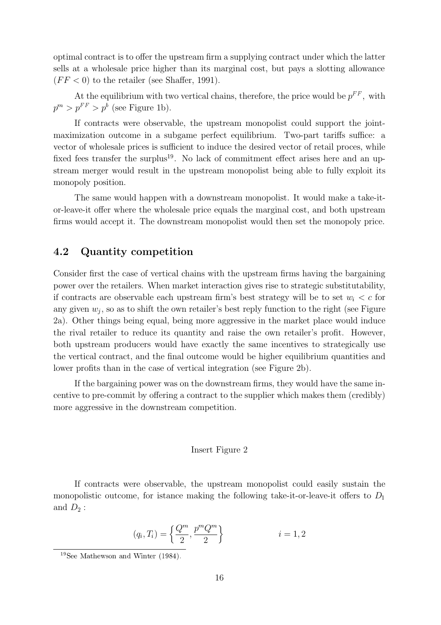optimal contract is to offer the upstream firm a supplying contract under which the latter sells at a wholesale price higher than its marginal cost, but pays a slotting allowance  $(FF < 0)$  to the retailer (see Shaffer, 1991).

At the equilibrium with two vertical chains, therefore, the price would be  $p^{FF}$ , with  $p^{m} > p^{FF} > p^{b}$  (see Figure 1b).

If contracts were observable, the upstream monopolist could support the jointmaximization outcome in a subgame perfect equilibrium. Two-part tariffs suffice: a vector of wholesale prices is sufficient to induce the desired vector of retail proces, while fixed fees transfer the surplus<sup>19</sup>. No lack of commitment effect arises here and an upstream merger would result in the upstream monopolist being able to fully exploit its monopoly position.

The same would happen with a downstream monopolist. It would make a take-itor-leave-it offer where the wholesale price equals the marginal cost, and both upstream firms would accept it. The downstream monopolist would then set the monopoly price.

#### 4.2 Quantity competition

Consider first the case of vertical chains with the upstream firms having the bargaining power over the retailers. When market interaction gives rise to strategic substitutability, if contracts are observable each upstream firm's best strategy will be to set  $w_i < c$  for any given  $w_i$ , so as to shift the own retailer's best reply function to the right (see Figure 2a). Other things being equal, being more aggressive in the market place would induce the rival retailer to reduce its quantity and raise the own retailer's profit. However, both upstream producers would have exactly the same incentives to strategically use the vertical contract, and the final outcome would be higher equilibrium quantities and lower profits than in the case of vertical integration (see Figure 2b).

If the bargaining power was on the downstream firms, they would have the same incentive to pre-commit by offering a contract to the supplier which makes them (credibly) more aggressive in the downstream competition.

#### Insert Figure 2

If contracts were observable, the upstream monopolist could easily sustain the monopolistic outcome, for istance making the following take-it-or-leave-it offers to  $D_1$ and  $D_2$ :

$$
(q_i, T_i) = \left\{ \frac{Q^m}{2}, \frac{p^m Q^m}{2} \right\} \qquad i = 1, 2
$$

<sup>19</sup>See Mathewson and Winter (1984).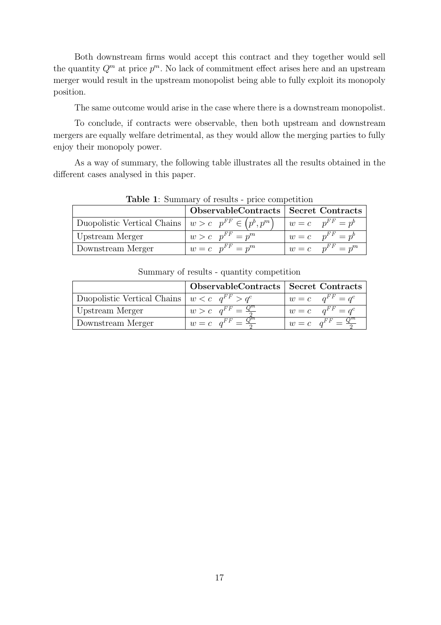Both downstream firms would accept this contract and they together would sell the quantity  $Q^m$  at price  $p^m$ . No lack of commitment effect arises here and an upstream merger would result in the upstream monopolist being able to fully exploit its monopoly position.

The same outcome would arise in the case where there is a downstream monopolist.

To conclude, if contracts were observable, then both upstream and downstream mergers are equally welfare detrimental, as they would allow the merging parties to fully enjoy their monopoly power.

As a way of summary, the following table illustrates all the results obtained in the different cases analysed in this paper.

| <b>rapic 1.</b> Daminary or results price competition    |                                        |                        |  |
|----------------------------------------------------------|----------------------------------------|------------------------|--|
|                                                          | ObservableContracts   Secret Contracts |                        |  |
| Duopolistic Vertical Chains $ w>c p^{FF} \in (p^b, p^m)$ |                                        | $w = c$ $p^{FF} = p^b$ |  |
| Upstream Merger                                          | $w > c$ $p^{FF} = p^m$                 | $w = c$ $p^{FF} = p^b$ |  |
| Downstream Merger                                        | $w = c$ $p^{FF} = p^m$                 | $w = c$ $p^{FF} = p^m$ |  |

Table 1: Summary of results - price competition

|                                                      | ObservableContracts   Secret Contracts |                                      |
|------------------------------------------------------|----------------------------------------|--------------------------------------|
| Duopolistic Vertical Chains $ w < c \, q^{FF} > q^c$ |                                        | $w = c \quad q^{FF} = q^c$           |
| Upstream Merger                                      | $w > c$ $q^{FF} = \frac{Q^m}{a}$       | $w = c \quad q^{FF} = q^c$           |
| Downstream Merger                                    | $w = c \quad q^{FF} = \frac{Q^m}{2}$   | $w = c \quad q^{FF} = \frac{Q^m}{2}$ |

Summary of results - quantity competition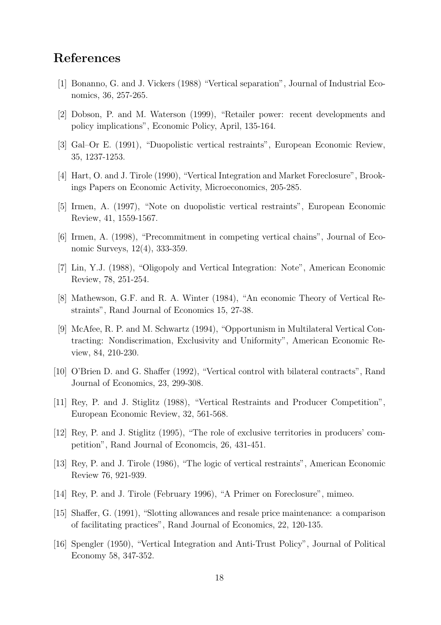## References

- [1] Bonanno, G. and J. Vickers (1988) "Vertical separation", Journal of Industrial Economics, 36, 257-265.
- [2] Dobson, P. and M. Waterson (1999), "Retailer power: recent developments and policy implications", Economic Policy, April, 135-164.
- [3] Gal-Or E. (1991), "Duopolistic vertical restraints", European Economic Review, 35, 1237-1253.
- [4] Hart, O. and J. Tirole (1990), "Vertical Integration and Market Foreclosure", Brookings Papers on Economic Activity, Microeconomics, 205-285.
- [5] Irmen, A. (1997), "Note on duopolistic vertical restraints", European Economic Review, 41, 1559-1567.
- $[6]$  Irmen, A.  $(1998)$ , "Precommitment in competing vertical chains", Journal of Economic Surveys, 12(4), 333-359.
- [7] Lin, Y.J. (1988), "Oligopoly and Vertical Integration: Note", American Economic Review, 78, 251-254.
- [8] Mathewson, G.F. and R. A. Winter (1984), "An economic Theory of Vertical Restraints", Rand Journal of Economics 15, 27-38.
- [9] McAfee, R. P. and M. Schwartz (1994), "Opportunism in Multilateral Vertical Contracting: Nondiscrimation, Exclusivity and Uniformity", American Economic Review, 84, 210-230.
- [10] O'Brien D. and G. Shaffer (1992), "Vertical control with bilateral contracts", Rand Journal of Economics, 23, 299-308.
- [11] Rey, P. and J. Stiglitz (1988), "Vertical Restraints and Producer Competition", European Economic Review, 32, 561-568.
- [12] Rey, P. and J. Stiglitz (1995), "The role of exclusive territories in producers' competition", Rand Journal of Economcis, 26, 431-451.
- [13] Rey, P. and J. Tirole (1986), \The logic of vertical restraints", American Economic Review 76, 921-939.
- [14] Rey, P. and J. Tirole (February 1996), "A Primer on Foreclosure", mimeo.
- $[15]$  Shaffer, G. (1991), "Slotting allowances and resale price maintenance: a comparison of facilitating practices", Rand Journal of Economics, 22, 120-135.
- [16] Spengler (1950), "Vertical Integration and Anti-Trust Policy", Journal of Political Economy 58, 347-352.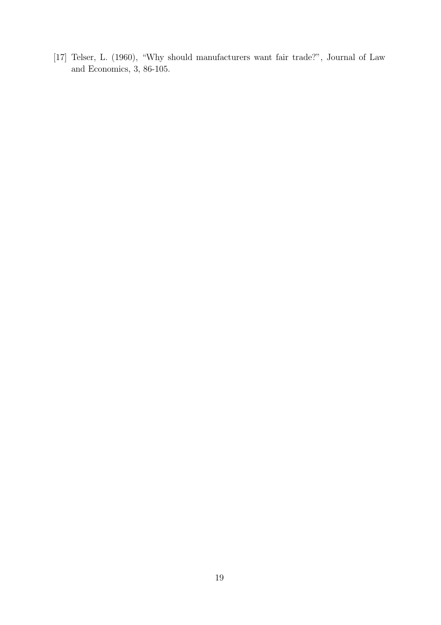[17] Telser, L. (1960), "Why should manufacturers want fair trade?", Journal of Law and Economics, 3, 86-105.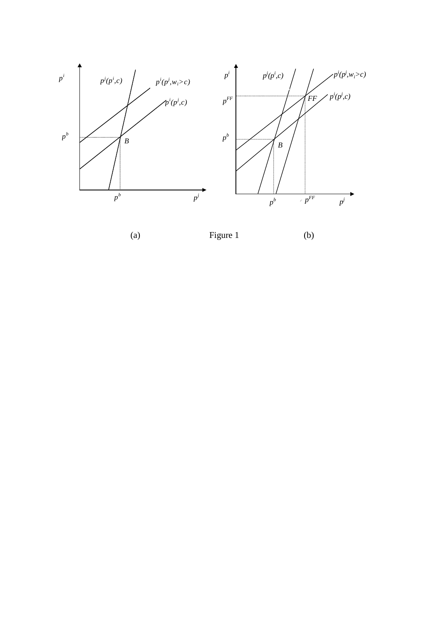